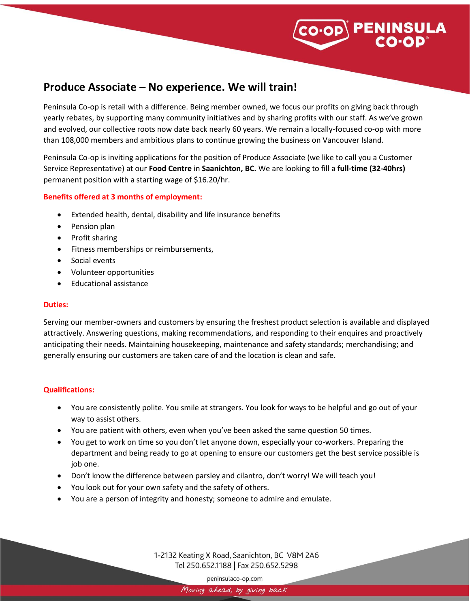

# **Produce Associate – No experience. We will train!**

Peninsula Co-op is retail with a difference. Being member owned, we focus our profits on giving back through yearly rebates, by supporting many community initiatives and by sharing profits with our staff. As we've grown and evolved, our collective roots now date back nearly 60 years. We remain a locally-focused co-op with more than 108,000 members and ambitious plans to continue growing the business on Vancouver Island.

Peninsula Co-op is inviting applications for the position of Produce Associate (we like to call you a Customer Service Representative) at our **Food Centre** in **Saanichton, BC.** We are looking to fill a **full-time (32-40hrs)** permanent position with a starting wage of \$16.20/hr.

### **Benefits offered at 3 months of employment:**

- Extended health, dental, disability and life insurance benefits
- Pension plan
- Profit sharing
- Fitness memberships or reimbursements,
- Social events
- Volunteer opportunities
- Educational assistance

### **Duties:**

Serving our member-owners and customers by ensuring the freshest product selection is available and displayed attractively. Answering questions, making recommendations, and responding to their enquires and proactively anticipating their needs. Maintaining housekeeping, maintenance and safety standards; merchandising; and generally ensuring our customers are taken care of and the location is clean and safe.

### **Qualifications:**

- You are consistently polite. You smile at strangers. You look for ways to be helpful and go out of your way to assist others.
- You are patient with others, even when you've been asked the same question 50 times.
- You get to work on time so you don't let anyone down, especially your co-workers. Preparing the department and being ready to go at opening to ensure our customers get the best service possible is job one.
- Don't know the difference between parsley and cilantro, don't worry! We will teach you!
- You look out for your own safety and the safety of others.
- You are a person of integrity and honesty; someone to admire and emulate.

1-2132 Keating X Road, Saanichton, BC V8M 2A6 Tel 250.652.1188 | Fax 250.652.5298

peninsulaco-op.com

Moving ahead, by giving back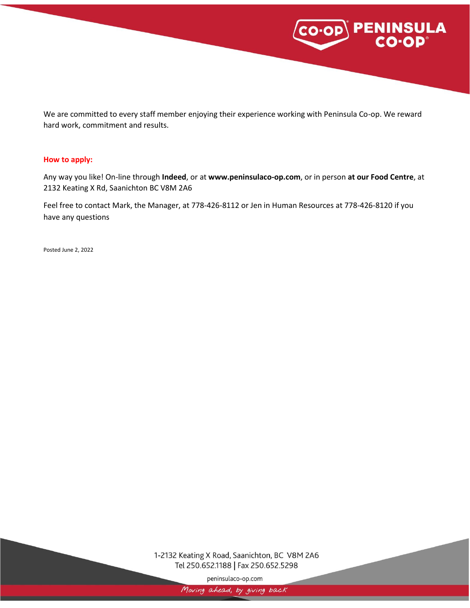

We are committed to every staff member enjoying their experience working with Peninsula Co-op. We reward hard work, commitment and results.

#### **How to apply:**

Any way you like! On-line through **Indeed**, or at **www.peninsulaco-op.com**, or in person **at our Food Centre**, at 2132 Keating X Rd, Saanichton BC V8M 2A6

Feel free to contact Mark, the Manager, at 778-426-8112 or Jen in Human Resources at 778-426-8120 if you have any questions

Posted June 2, 2022

## 1-2132 Keating X Road, Saanichton, BC V8M 2A6 Tel 250.652.1188 | Fax 250.652.5298

peninsulaco-op.com

Moving ahead, by giving back